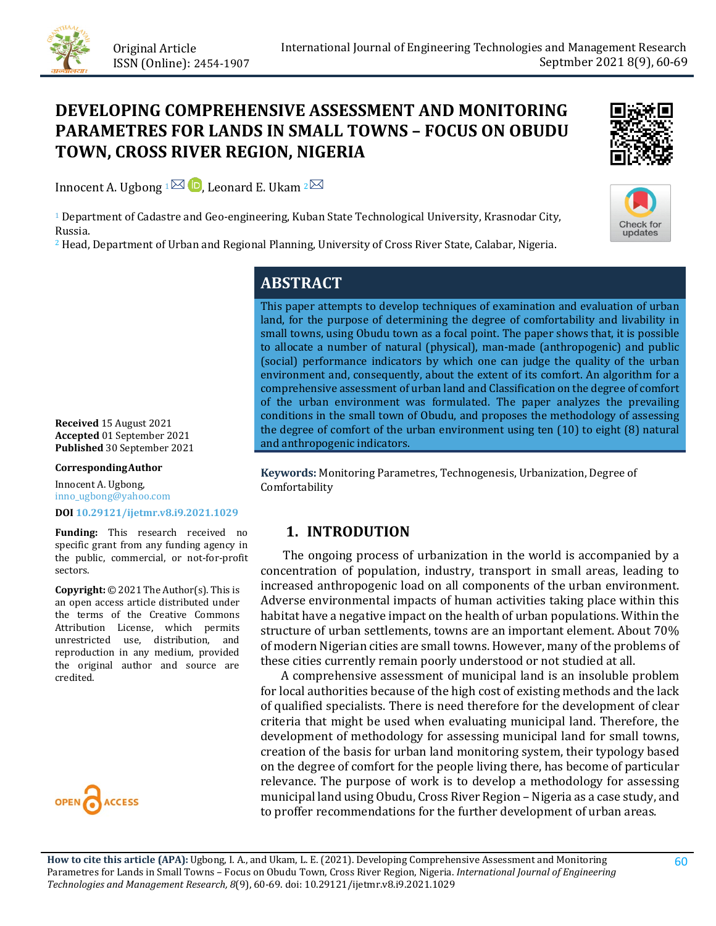

# **DEVELOPING COMPREHENSIVE ASSESSMENT AND MONITORING PARAMETRES FOR LANDS IN SMALL TOWNS – FOCUS ON OBUDU TOWN, CROSS RIVER REGION, NIGERIA**

Innocent A. Ugbong  $1^{\boxtimes}$  **D**[,](https://orcid.org/0000-0002-5854-6175) Leonard E. Ukam  $2^{\boxtimes}$ 

<sup>1</sup> Department of Cadastre and Geo-engineering, Kuban State Technological University, Krasnodar City, Russia.

<sup>2</sup> Head, Department of Urban and Regional Planning, University of Cross River State, Calabar, Nigeria.





## **ABSTRACT**

This paper attempts to develop techniques of examination and evaluation of urban land, for the purpose of determining the degree of comfortability and livability in small towns, using Obudu town as a focal point. The paper shows that, it is possible to allocate a number of natural (physical), man-made (anthropogenic) and public (social) performance indicators by which one can judge the quality of the urban environment and, consequently, about the extent of its comfort. An algorithm for a comprehensive assessment of urban land and Classification on the degree of comfort of the urban environment was formulated. The paper analyzes the prevailing conditions in the small town of Obudu, and proposes the methodology of assessing the degree of comfort of the urban environment using ten (10) to eight (8) natural and anthropogenic indicators.

**Keywords:** Monitoring Parametres, Technogenesis, Urbanization, Degree of Comfortability

## **1. INTRODUTION**

 The ongoing process of urbanization in the world is accompanied by a concentration of population, industry, transport in small areas, leading to increased anthropogenic load on all components of the urban environment. Adverse environmental impacts of human activities taking place within this habitat have a negative impact on the health of urban populations. Within the structure of urban settlements, towns are an important element. About 70% of modern Nigerian cities are small towns. However, many of the problems of these cities currently remain poorly understood or not studied at all.

 A comprehensive assessment of municipal land is an insoluble problem for local authorities because of the high cost of existing methods and the lack of qualified specialists. There is need therefore for the development of clear criteria that might be used when evaluating municipal land. Therefore, the development of methodology for assessing municipal land for small towns, creation of the basis for urban land monitoring system, their typology based on the degree of comfort for the people living there, has become of particular relevance. The purpose of work is to develop a methodology for assessing municipal land using Obudu, Cross River Region – Nigeria as a case study, and to proffer recommendations for the further development of urban areas.

**How to cite this article (APA):** Ugbong, I. A., and Ukam, L. E. (2021). Developing Comprehensive Assessment and Monitoring Parametres for Lands in Small Towns – Focus on Obudu Town, Cross River Region, Nigeria. *International Journal of Engineering Technologies and Management Research, 8*(9), 60-69. [doi:](https://doi.org/10.29121/granthaalayah.v9.i6.2021.3923) [10.29121/ijetmr.v8.i9.2021.1029](https://dx.doi.org/10.29121/ijetmr.v8.i9.2021.1029)

**Received** 15 August 2021 **Accepted** 01 September 2021 **Published** 30 September 2021

#### **CorrespondingAuthor**

Innocent A. Ugbong, inno\_ugbong@yahoo.com

#### **DOI [10.29121/ijetmr.v8.i9.2021.1029](https://dx.doi.org/10.29121/ijetmr.v8.i9.2021.1029)**

**Funding:** This research received no specific grant from any funding agency in the public, commercial, or not-for-profit sectors.

**Copyright:** © 2021 The Author(s). This is an open access article distributed under the terms of the Creative Commons Attribution License, which permits unrestricted use, distribution, and reproduction in any medium, provided the original author and source are credited.

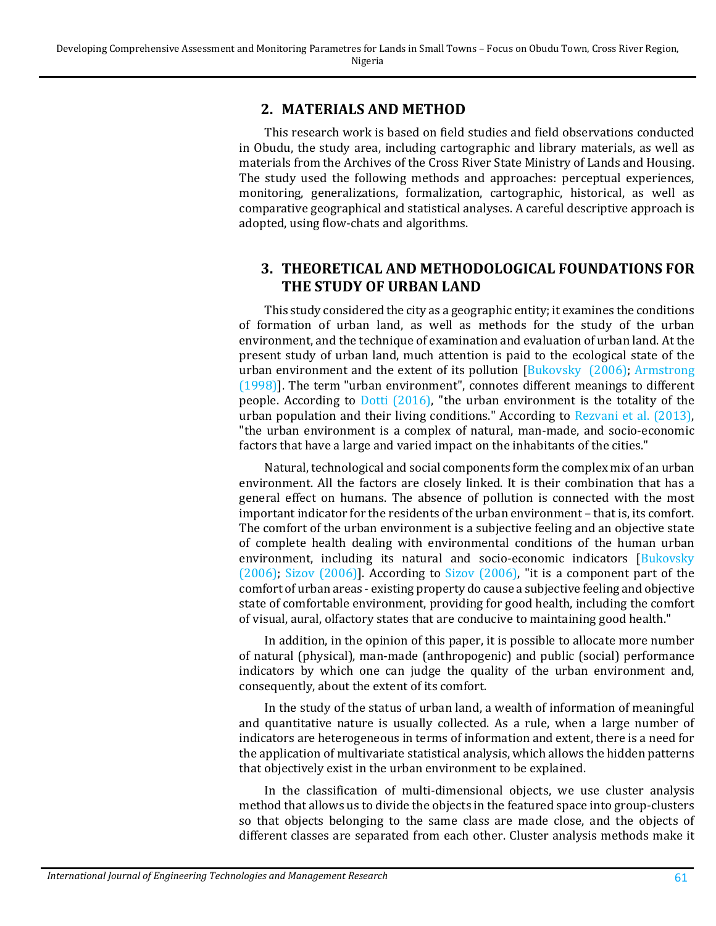#### **2. MATERIALS AND METHOD**

This research work is based on field studies and field observations conducted in Obudu, the study area, including cartographic and library materials, as well as materials from the Archives of the Cross River State Ministry of Lands and Housing. The study used the following methods and approaches: perceptual experiences, monitoring, generalizations, formalization, cartographic, historical, as well as comparative geographical and statistical analyses. A careful descriptive approach is adopted, using flow-chats and algorithms.

## **3. THEORETICAL AND METHODOLOGICAL FOUNDATIONS FOR THE STUDY OF URBAN LAND**

This study considered the city as a geographic entity; it examines the conditions of formation of urban land, as well as methods for the study of the urban environment, and the technique of examination and evaluation of urban land. At the present study of urban land, much attention is paid to the ecological state of the urban environment and the extent of its pollution [\[Bukovsky](#page-8-0) (2006); [Armstrong](#page-8-1)  [\(1998\)\]](#page-8-1). The term "urban environment", connotes different meanings to different people. According to Dotti [\(2016\),](#page-9-0) "the urban environment is the totality of the urban population and their living conditions." According to [Rezvani](#page-9-1) et al. (2013), "the urban environment is a complex of natural, man-made, and socio-economic factors that have a large and varied impact on the inhabitants of the cities."

Natural, technological and social components form the complex mix of an urban environment. All the factors are closely linked. It is their combination that has a general effect on humans. The absence of pollution is connected with the most important indicator for the residents of the urban environment – that is, its comfort. The comfort of the urban environment is a subjective feeling and an objective state of complete health dealing with environmental conditions of the human urban environment, including its natural and socio-economic indicators [\[Bukovsky](#page-8-0)] [\(2006\);](#page-8-0) [Sizov \(2006\)\]](#page-9-2). According to [Sizov \(2006\),](#page-9-2) "it is a component part of the comfort of urban areas - existing property do cause a subjective feeling and objective state of comfortable environment, providing for good health, including the comfort of visual, aural, olfactory states that are conducive to maintaining good health."

In addition, in the opinion of this paper, it is possible to allocate more number of natural (physical), man-made (anthropogenic) and public (social) performance indicators by which one can judge the quality of the urban environment and, consequently, about the extent of its comfort.

In the study of the status of urban land, a wealth of information of meaningful and quantitative nature is usually collected. As a rule, when a large number of indicators are heterogeneous in terms of information and extent, there is a need for the application of multivariate statistical analysis, which allows the hidden patterns that objectively exist in the urban environment to be explained.

In the classification of multi-dimensional objects, we use cluster analysis method that allows us to divide the objects in the featured space into group-clusters so that objects belonging to the same class are made close, and the objects of different classes are separated from each other. Cluster analysis methods make it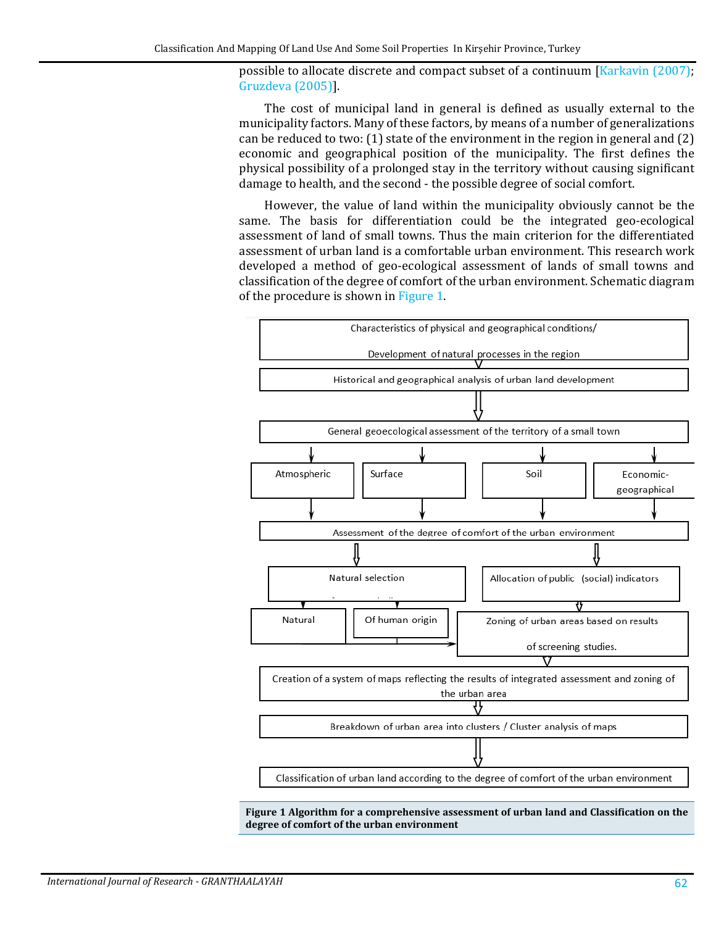possible to allocate discrete and compact subset of a continuum [\[Karkavin \(2007\);](#page-9-3) [Gruzdeva \(2005\)\]](#page-9-4).

The cost of municipal land in general is defined as usually external to the municipality factors. Many of these factors, by means of a number of generalizations can be reduced to two: (1) state of the environment in the region in general and (2) economic and geographical position of the municipality. The first defines the physical possibility of a prolonged stay in the territory without causing significant damage to health, and the second - the possible degree of social comfort.

However, the value of land within the municipality obviously cannot be the same. The basis for differentiation could be the integrated geo-ecological assessment of land of small towns. Thus the main criterion for the differentiated assessment of urban land is a comfortable urban environment. This research work developed a method of geo-ecological assessment of lands of small towns and classification of the degree of comfort of the urban environment. Schematic diagram of the procedure is shown in [Figure 1.](#page-2-0)

<span id="page-2-0"></span>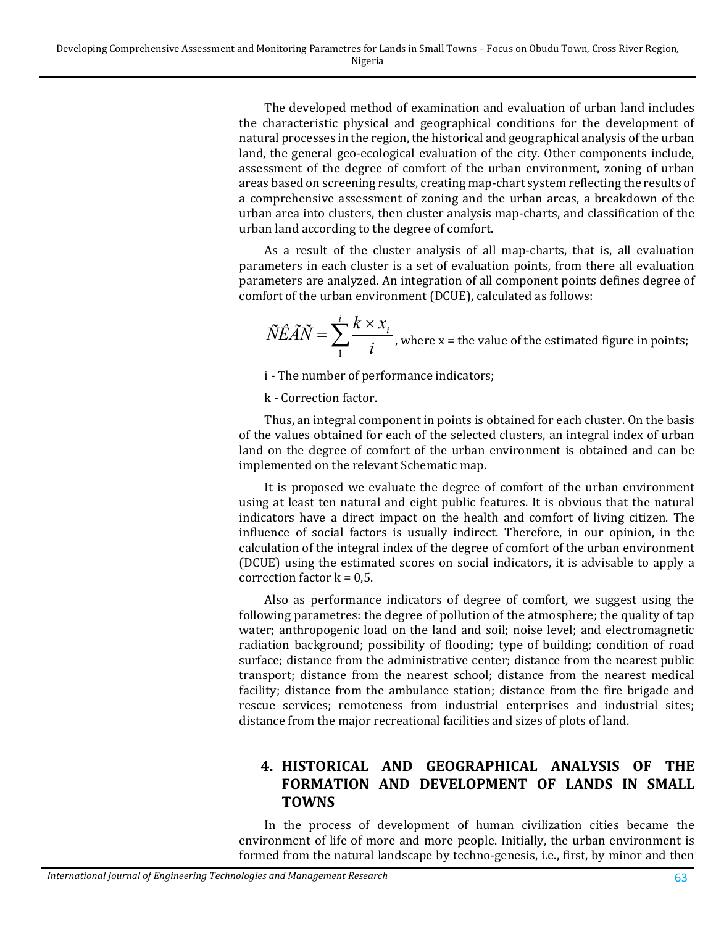The developed method of examination and evaluation of urban land includes the characteristic physical and geographical conditions for the development of natural processes in the region, the historical and geographical analysis of the urban land, the general geo-ecological evaluation of the city. Other components include, assessment of the degree of comfort of the urban environment, zoning of urban areas based on screening results, creating map-chart system reflecting the results of a comprehensive assessment of zoning and the urban areas, a breakdown of the urban area into clusters, then cluster analysis map-charts, and classification of the urban land according to the degree of comfort.

As a result of the cluster analysis of all map-charts, that is, all evaluation parameters in each cluster is a set of evaluation points, from there all evaluation parameters are analyzed. An integration of all component points defines degree of comfort of the urban environment (DCUE), calculated as follows:

$$
\widetilde{N}\widehat{E}\widetilde{A}\widetilde{N} = \sum_{1}^{i} \frac{k \times x_i}{i}
$$
, where x = the value of the estimated figure in points;

i - The number of performance indicators;

k - Correction factor.

Thus, an integral component in points is obtained for each cluster. On the basis of the values obtained for each of the selected clusters, an integral index of urban land on the degree of comfort of the urban environment is obtained and can be implemented on the relevant Schematic map.

It is proposed we evaluate the degree of comfort of the urban environment using at least ten natural and eight public features. It is obvious that the natural indicators have a direct impact on the health and comfort of living citizen. The influence of social factors is usually indirect. Therefore, in our opinion, in the calculation of the integral index of the degree of comfort of the urban environment (DCUE) using the estimated scores on social indicators, it is advisable to apply a correction factor  $k = 0.5$ .

Also as performance indicators of degree of comfort, we suggest using the following parametres: the degree of pollution of the atmosphere; the quality of tap water; anthropogenic load on the land and soil; noise level; and electromagnetic radiation background; possibility of flooding; type of building; condition of road surface; distance from the administrative center; distance from the nearest public transport; distance from the nearest school; distance from the nearest medical facility; distance from the ambulance station; distance from the fire brigade and rescue services; remoteness from industrial enterprises and industrial sites; distance from the major recreational facilities and sizes of plots of land.

#### **4. HISTORICAL AND GEOGRAPHICAL ANALYSIS OF THE FORMATION AND DEVELOPMENT OF LANDS IN SMALL TOWNS**

In the process of development of human civilization cities became the environment of life of more and more people. Initially, the urban environment is formed from the natural landscape by techno-genesis, i.e., first, by minor and then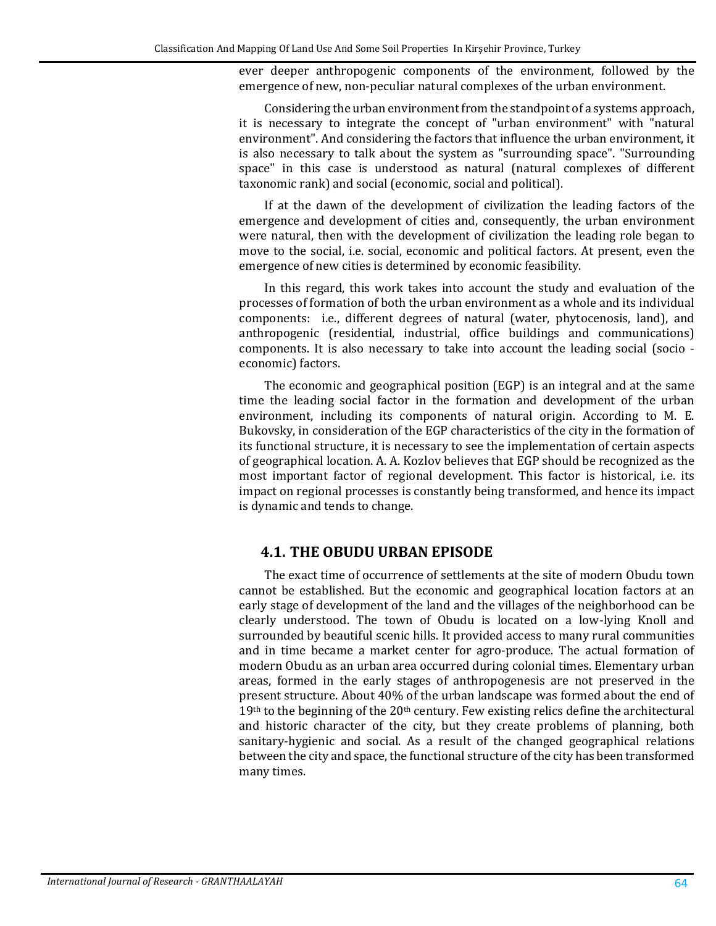ever deeper anthropogenic components of the environment, followed by the emergence of new, non-peculiar natural complexes of the urban environment.

Considering the urban environment from the standpoint of a systems approach, it is necessary to integrate the concept of "urban environment" with "natural environment". And considering the factors that influence the urban environment, it is also necessary to talk about the system as "surrounding space". "Surrounding space" in this case is understood as natural (natural complexes of different taxonomic rank) and social (economic, social and political).

If at the dawn of the development of civilization the leading factors of the emergence and development of cities and, consequently, the urban environment were natural, then with the development of civilization the leading role began to move to the social, i.e. social, economic and political factors. At present, even the emergence of new cities is determined by economic feasibility.

In this regard, this work takes into account the study and evaluation of the processes of formation of both the urban environment as a whole and its individual components: i.e., different degrees of natural (water, phytocenosis, land), and anthropogenic (residential, industrial, office buildings and communications) components. It is also necessary to take into account the leading social (socio economic) factors.

The economic and geographical position (EGP) is an integral and at the same time the leading social factor in the formation and development of the urban environment, including its components of natural origin. According to M. E. Bukovsky, in consideration of the EGP characteristics of the city in the formation of its functional structure, it is necessary to see the implementation of certain aspects of geographical location. A. A. Kozlov believes that EGP should be recognized as the most important factor of regional development. This factor is historical, i.e. its impact on regional processes is constantly being transformed, and hence its impact is dynamic and tends to change.

#### **4.1. THE OBUDU URBAN EPISODE**

The exact time of occurrence of settlements at the site of modern Obudu town cannot be established. But the economic and geographical location factors at an early stage of development of the land and the villages of the neighborhood can be clearly understood. The town of Obudu is located on a low-lying Knoll and surrounded by beautiful scenic hills. It provided access to many rural communities and in time became a market center for agro-produce. The actual formation of modern Obudu as an urban area occurred during colonial times. Elementary urban areas, formed in the early stages of anthropogenesis are not preserved in the present structure. About 40% of the urban landscape was formed about the end of  $19<sup>th</sup>$  to the beginning of the  $20<sup>th</sup>$  century. Few existing relics define the architectural and historic character of the city, but they create problems of planning, both sanitary-hygienic and social. As a result of the changed geographical relations between the city and space, the functional structure of the city has been transformed many times.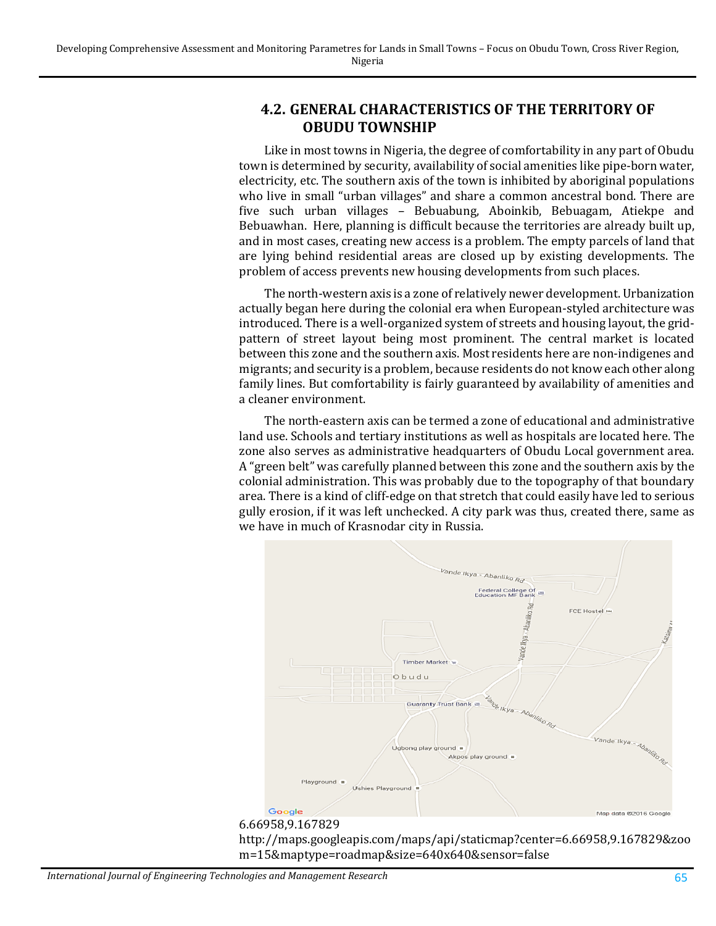## **4.2. GENERAL CHARACTERISTICS OF THE TERRITORY OF OBUDU TOWNSHIP**

Like in most towns in Nigeria, the degree of comfortability in any part of Obudu town is determined by security, availability of social amenities like pipe-born water, electricity, etc. The southern axis of the town is inhibited by aboriginal populations who live in small "urban villages" and share a common ancestral bond. There are five such urban villages – Bebuabung, Aboinkib, Bebuagam, Atiekpe and Bebuawhan. Here, planning is difficult because the territories are already built up, and in most cases, creating new access is a problem. The empty parcels of land that are lying behind residential areas are closed up by existing developments. The problem of access prevents new housing developments from such places.

The north-western axis is a zone of relatively newer development. Urbanization actually began here during the colonial era when European-styled architecture was introduced. There is a well-organized system of streets and housing layout, the gridpattern of street layout being most prominent. The central market is located between this zone and the southern axis. Most residents here are non-indigenes and migrants; and security is a problem, because residents do not know each other along family lines. But comfortability is fairly guaranteed by availability of amenities and a cleaner environment.

The north-eastern axis can be termed a zone of educational and administrative land use. Schools and tertiary institutions as well as hospitals are located here. The zone also serves as administrative headquarters of Obudu Local government area. A "green belt" was carefully planned between this zone and the southern axis by the colonial administration. This was probably due to the topography of that boundary area. There is a kind of cliff-edge on that stretch that could easily have led to serious gully erosion, if it was left unchecked. A city park was thus, created there, same as we have in much of Krasnodar city in Russia.



#### 6.66958,9.167829

http://maps.googleapis.com/maps/api/staticmap?center=6.66958,9.167829&zoo m=15&maptype=roadmap&size=640x640&sensor=false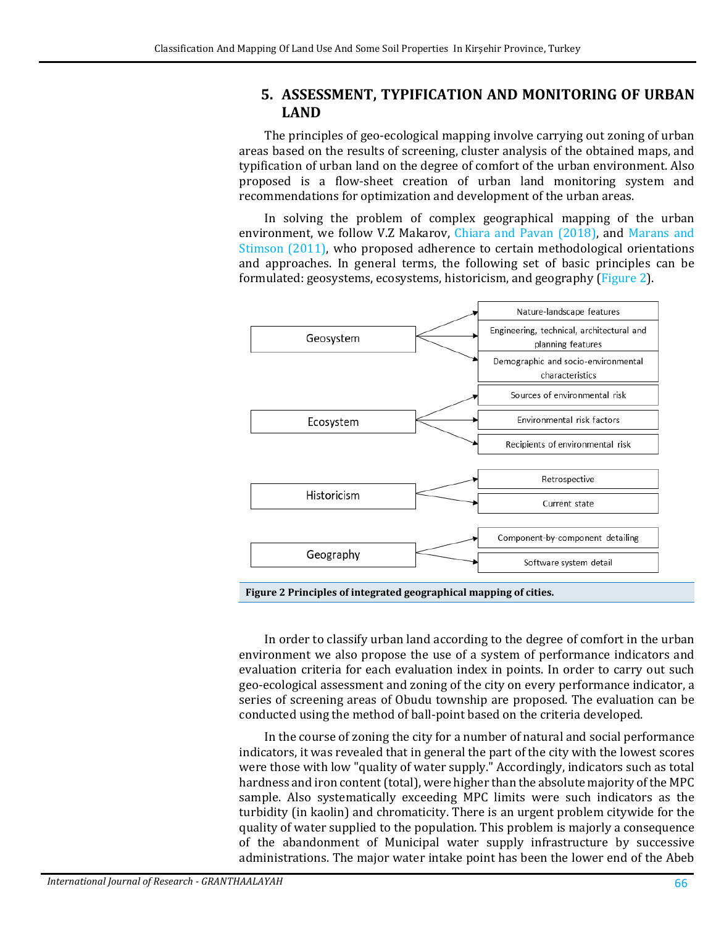#### **5. ASSESSMENT, TYPIFICATION AND MONITORING OF URBAN LAND**

The principles of geo-ecological mapping involve carrying out zoning of urban areas based on the results of screening, cluster analysis of the obtained maps, and typification of urban land on the degree of comfort of the urban environment. Also proposed is a flow-sheet creation of urban land monitoring system and recommendations for optimization and development of the urban areas.

In solving the problem of complex geographical mapping of the urban environment, we follow V.Z Makarov, [Chiara and](#page-9-5) Pavan (2018), and [Marans](#page-9-6) and [Stimson](#page-9-6) (2011), who proposed adherence to certain methodological orientations and approaches. In general terms, the following set of basic principles can be formulated: geosystems, ecosystems, historicism, and geography [\(Figure 2\)](#page-6-0).



<span id="page-6-0"></span>**Figure 2 Principles of integrated geographical mapping of cities.**

In order to classify urban land according to the degree of comfort in the urban environment we also propose the use of a system of performance indicators and evaluation criteria for each evaluation index in points. In order to carry out such geo-ecological assessment and zoning of the city on every performance indicator, a series of screening areas of Obudu township are proposed. The evaluation can be conducted using the method of ball-point based on the criteria developed.

In the course of zoning the city for a number of natural and social performance indicators, it was revealed that in general the part of the city with the lowest scores were those with low "quality of water supply." Accordingly, indicators such as total hardness and iron content (total), were higher than the absolute majority of the MPC sample. Also systematically exceeding MPC limits were such indicators as the turbidity (in kaolin) and chromaticity. There is an urgent problem citywide for the quality of water supplied to the population. This problem is majorly a consequence of the abandonment of Municipal water supply infrastructure by successive administrations. The major water intake point has been the lower end of the Abeb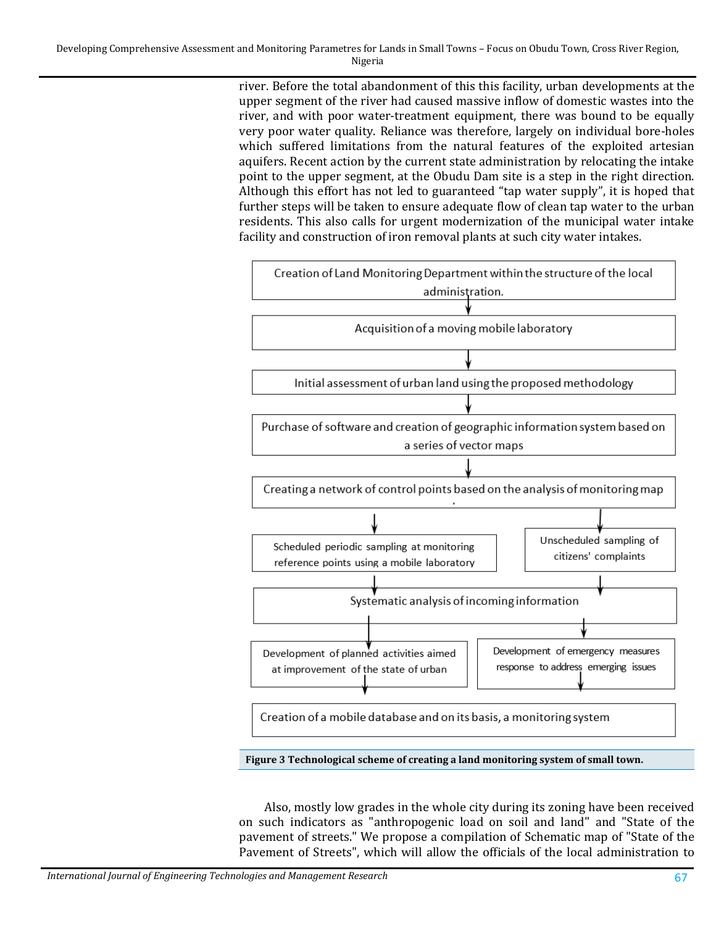river. Before the total abandonment of this this facility, urban developments at the upper segment of the river had caused massive inflow of domestic wastes into the river, and with poor water-treatment equipment, there was bound to be equally very poor water quality. Reliance was therefore, largely on individual bore-holes which suffered limitations from the natural features of the exploited artesian aquifers. Recent action by the current state administration by relocating the intake point to the upper segment, at the Obudu Dam site is a step in the right direction. Although this effort has not led to guaranteed "tap water supply", it is hoped that further steps will be taken to ensure adequate flow of clean tap water to the urban residents. This also calls for urgent modernization of the municipal water intake facility and construction of iron removal plants at such city water intakes.



Also, mostly low grades in the whole city during its zoning have been received on such indicators as "anthropogenic load on soil and land" and "State of the pavement of streets." We propose a compilation of Schematic map of "State of the Pavement of Streets", which will allow the officials of the local administration to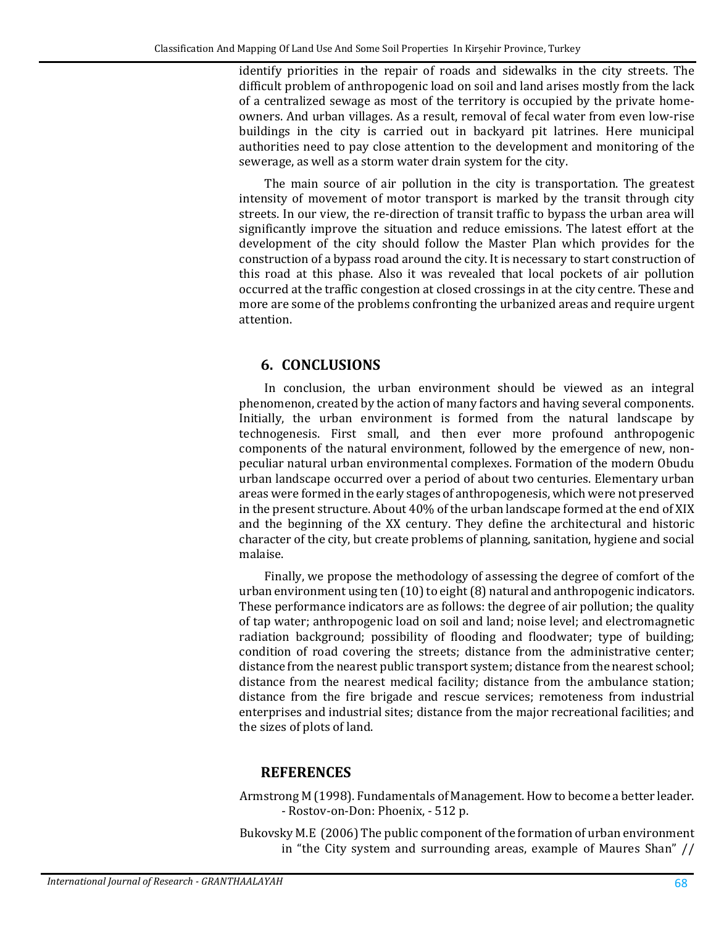identify priorities in the repair of roads and sidewalks in the city streets. The difficult problem of anthropogenic load on soil and land arises mostly from the lack of a centralized sewage as most of the territory is occupied by the private homeowners. And urban villages. As a result, removal of fecal water from even low-rise buildings in the city is carried out in backyard pit latrines. Here municipal authorities need to pay close attention to the development and monitoring of the sewerage, as well as a storm water drain system for the city.

The main source of air pollution in the city is transportation. The greatest intensity of movement of motor transport is marked by the transit through city streets. In our view, the re-direction of transit traffic to bypass the urban area will significantly improve the situation and reduce emissions. The latest effort at the development of the city should follow the Master Plan which provides for the construction of a bypass road around the city. It is necessary to start construction of this road at this phase. Also it was revealed that local pockets of air pollution occurred at the traffic congestion at closed crossings in at the city centre. These and more are some of the problems confronting the urbanized areas and require urgent attention.

## **6. CONCLUSIONS**

In conclusion, the urban environment should be viewed as an integral phenomenon, created by the action of many factors and having several components. Initially, the urban environment is formed from the natural landscape by technogenesis. First small, and then ever more profound anthropogenic components of the natural environment, followed by the emergence of new, nonpeculiar natural urban environmental complexes. Formation of the modern Obudu urban landscape occurred over a period of about two centuries. Elementary urban areas were formed in the early stages of anthropogenesis, which were not preserved in the present structure. About 40% of the urban landscape formed at the end of XIX and the beginning of the XX century. They define the architectural and historic character of the city, but create problems of planning, sanitation, hygiene and social malaise.

Finally, we propose the methodology of assessing the degree of comfort of the urban environment using ten  $(10)$  to eight $(8)$  natural and anthropogenic indicators. These performance indicators are as follows: the degree of air pollution; the quality of tap water; anthropogenic load on soil and land; noise level; and electromagnetic radiation background; possibility of flooding and floodwater; type of building; condition of road covering the streets; distance from the administrative center; distance from the nearest public transport system; distance from the nearest school; distance from the nearest medical facility; distance from the ambulance station; distance from the fire brigade and rescue services; remoteness from industrial enterprises and industrial sites; distance from the major recreational facilities; and the sizes of plots of land.

#### **REFERENCES**

<span id="page-8-1"></span>Armstrong M (1998). Fundamentals of Management. How to become a better leader. - Rostov-on-Don: Phoenix, - 512 p.

<span id="page-8-0"></span>Bukovsky M.E (2006) The public component of the formation of urban environment in "the City system and surrounding areas, example of Maures Shan" //